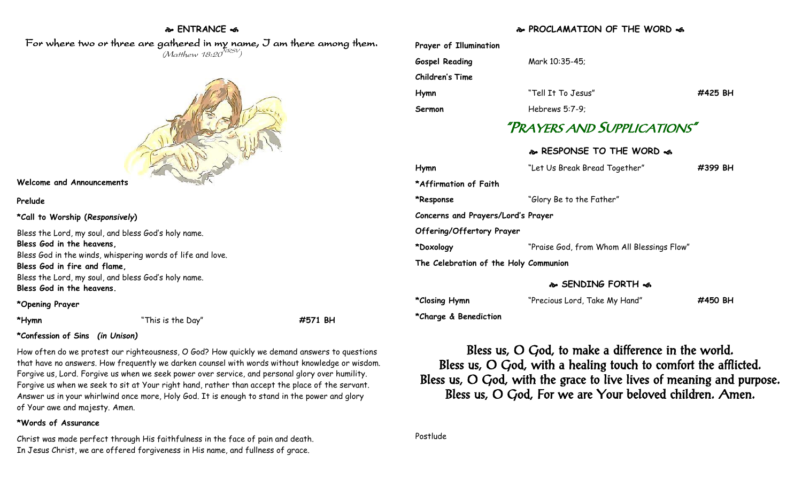# **ENTRANCE**

For where two or three are gathered in my name, I am there among them.  $(M$ atthew 18:20 $^{NRSV})$ 



#### **Welcome and Announcements**

### **Prelude**

**\*Call to Worship (***Responsively***)** 

Bless the Lord, my soul, and bless God's holy name.

#### **Bless God in the heavens,**

Bless God in the winds, whispering words of life and love.

**Bless God in fire and flame,**

Bless the Lord, my soul, and bless God's holy name. **Bless God in the heavens.**

### **\*Opening Prayer**

**\*Hymn** "This is the Day" **#571 BH**

## **\*Confession of Sins** *(in Unison)*

How often do we protest our righteousness, O God? How quickly we demand answers to questions that have no answers. How frequently we darken counsel with words without knowledge or wisdom. Forgive us, Lord. Forgive us when we seek power over service, and personal glory over humility. Forgive us when we seek to sit at Your right hand, rather than accept the place of the servant. Answer us in your whirlwind once more, Holy God. It is enough to stand in the power and glory of Your awe and majesty. Amen.

## **\*Words of Assurance**

Christ was made perfect through His faithfulness in the face of pain and death. In Jesus Christ, we are offered forgiveness in His name, and fullness of grace.

# **PROCLAMATION OF THE WORD**

|                                       | 1100                                       |         |  |
|---------------------------------------|--------------------------------------------|---------|--|
| Prayer of Illumination                |                                            |         |  |
| <b>Gospel Reading</b>                 | Mark 10:35-45;                             |         |  |
| Children's Time                       |                                            |         |  |
| Hymn                                  | "Tell It To Jesus"                         | #425 BH |  |
| Sermon                                | Hebrews $5:7-9$ :                          |         |  |
| "PRAYERS AND SUPPLICATIONS"           |                                            |         |  |
|                                       | � RESPONSE TO THE WORD �                   |         |  |
| Hymn                                  | "Let Us Break Bread Together"              | #399 BH |  |
| *Affirmation of Faith                 |                                            |         |  |
| *Response                             | "Glory Be to the Father"                   |         |  |
| Concerns and Prayers/Lord's Prayer    |                                            |         |  |
| Offering/Offertory Prayer             |                                            |         |  |
| *Doxology                             | "Praise God, from Whom All Blessings Flow" |         |  |
| The Celebration of the Holy Communion |                                            |         |  |
|                                       |                                            |         |  |

## **SENDING FORTH**

| *Closing Hymn         | "Precious Lord, Take My Hand" | #450 BH |
|-----------------------|-------------------------------|---------|
| *Charge & Benediction |                               |         |

Bless us, O God, to make a difference in the world. Bless us, O God, with a healing touch to comfort the afflicted. Bless us, O God, with the grace to live lives of meaning and purpose. Bless us, O God, For we are Your beloved children. Amen.

Postlude